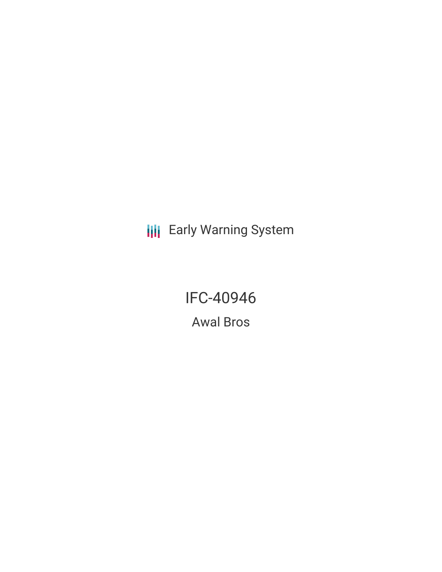**III** Early Warning System

IFC-40946 Awal Bros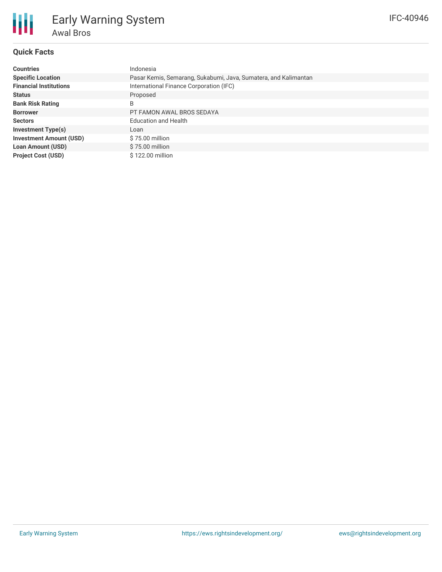# **Quick Facts**

冊

| <b>Countries</b>               | Indonesia                                                       |  |  |  |
|--------------------------------|-----------------------------------------------------------------|--|--|--|
| <b>Specific Location</b>       | Pasar Kemis, Semarang, Sukabumi, Java, Sumatera, and Kalimantan |  |  |  |
| <b>Financial Institutions</b>  | International Finance Corporation (IFC)                         |  |  |  |
| <b>Status</b>                  | Proposed                                                        |  |  |  |
| <b>Bank Risk Rating</b>        | B                                                               |  |  |  |
| <b>Borrower</b>                | PT FAMON AWAL BROS SEDAYA                                       |  |  |  |
| <b>Sectors</b>                 | <b>Education and Health</b>                                     |  |  |  |
| <b>Investment Type(s)</b>      | Loan                                                            |  |  |  |
| <b>Investment Amount (USD)</b> | \$75.00 million                                                 |  |  |  |
| <b>Loan Amount (USD)</b>       | \$75.00 million                                                 |  |  |  |
| <b>Project Cost (USD)</b>      | \$122.00 million                                                |  |  |  |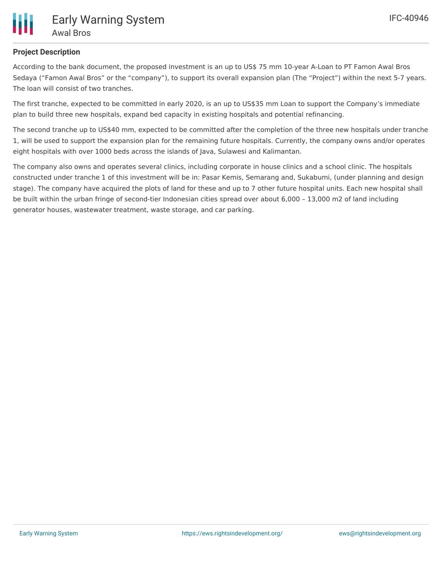

# **Project Description**

According to the bank document, the proposed investment is an up to US\$ 75 mm 10-year A-Loan to PT Famon Awal Bros Sedaya ("Famon Awal Bros" or the "company"), to support its overall expansion plan (The "Project") within the next 5-7 years. The loan will consist of two tranches.

The first tranche, expected to be committed in early 2020, is an up to US\$35 mm Loan to support the Company's immediate plan to build three new hospitals, expand bed capacity in existing hospitals and potential refinancing.

The second tranche up to US\$40 mm, expected to be committed after the completion of the three new hospitals under tranche 1, will be used to support the expansion plan for the remaining future hospitals. Currently, the company owns and/or operates eight hospitals with over 1000 beds across the islands of Java, Sulawesi and Kalimantan.

The company also owns and operates several clinics, including corporate in house clinics and a school clinic. The hospitals constructed under tranche 1 of this investment will be in: Pasar Kemis, Semarang and, Sukabumi, (under planning and design stage). The company have acquired the plots of land for these and up to 7 other future hospital units. Each new hospital shall be built within the urban fringe of second-tier Indonesian cities spread over about 6,000 – 13,000 m2 of land including generator houses, wastewater treatment, waste storage, and car parking.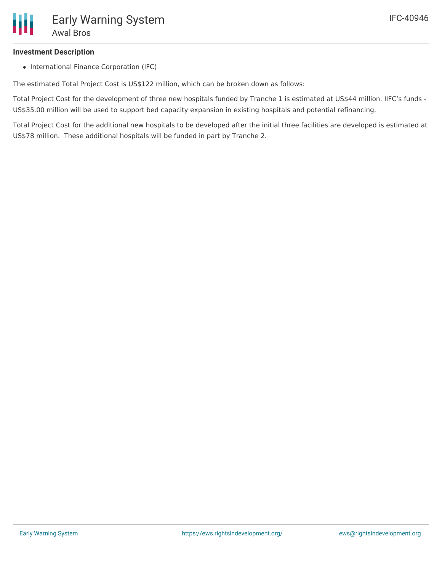## **Investment Description**

• International Finance Corporation (IFC)

The estimated Total Project Cost is US\$122 million, which can be broken down as follows:

Total Project Cost for the development of three new hospitals funded by Tranche 1 is estimated at US\$44 million. IIFC's funds - US\$35.00 million will be used to support bed capacity expansion in existing hospitals and potential refinancing.

Total Project Cost for the additional new hospitals to be developed after the initial three facilities are developed is estimated at US\$78 million. These additional hospitals will be funded in part by Tranche 2.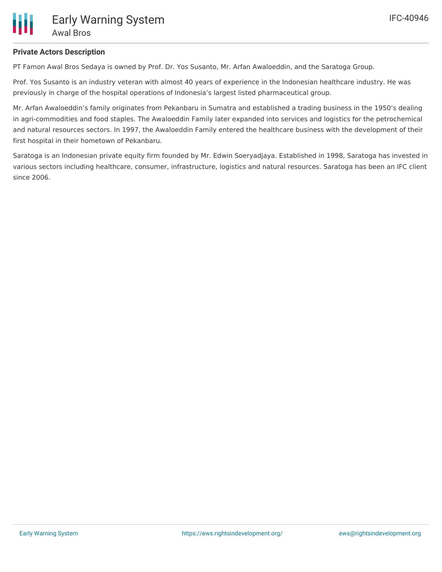## **Private Actors Description**

PT Famon Awal Bros Sedaya is owned by Prof. Dr. Yos Susanto, Mr. Arfan Awaloeddin, and the Saratoga Group.

Prof. Yos Susanto is an industry veteran with almost 40 years of experience in the Indonesian healthcare industry. He was previously in charge of the hospital operations of Indonesia's largest listed pharmaceutical group.

Mr. Arfan Awaloeddin's family originates from Pekanbaru in Sumatra and established a trading business in the 1950's dealing in agri-commodities and food staples. The Awaloeddin Family later expanded into services and logistics for the petrochemical and natural resources sectors. In 1997, the Awaloeddin Family entered the healthcare business with the development of their first hospital in their hometown of Pekanbaru.

Saratoga is an Indonesian private equity firm founded by Mr. Edwin Soeryadjaya. Established in 1998, Saratoga has invested in various sectors including healthcare, consumer, infrastructure, logistics and natural resources. Saratoga has been an IFC client since 2006.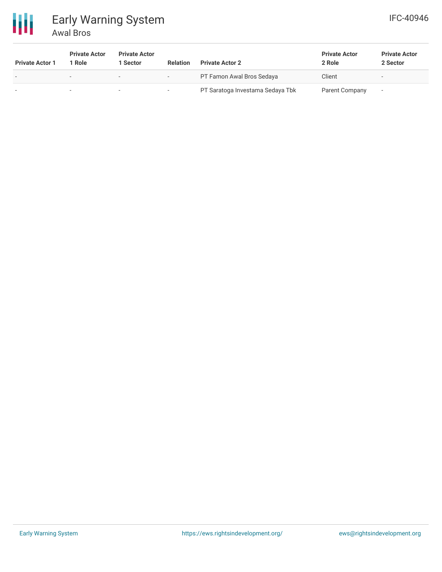

# Early Warning System Awal Bros

| <b>Private Actor 1</b> | <b>Private Actor</b><br>Role | <b>Private Actor</b><br>1 Sector | <b>Relation</b>          | <b>Private Actor 2</b>           | <b>Private Actor</b><br>2 Role | <b>Private Actor</b><br>2 Sector |
|------------------------|------------------------------|----------------------------------|--------------------------|----------------------------------|--------------------------------|----------------------------------|
|                        | $\overline{\phantom{a}}$     | $\sim$                           | $\overline{\phantom{0}}$ | PT Famon Awal Bros Sedaya        | Client                         | $\overline{\phantom{a}}$         |
|                        |                              | -                                |                          | PT Saratoga Investama Sedaya Tbk | Parent Company                 | $\overline{\phantom{a}}$         |